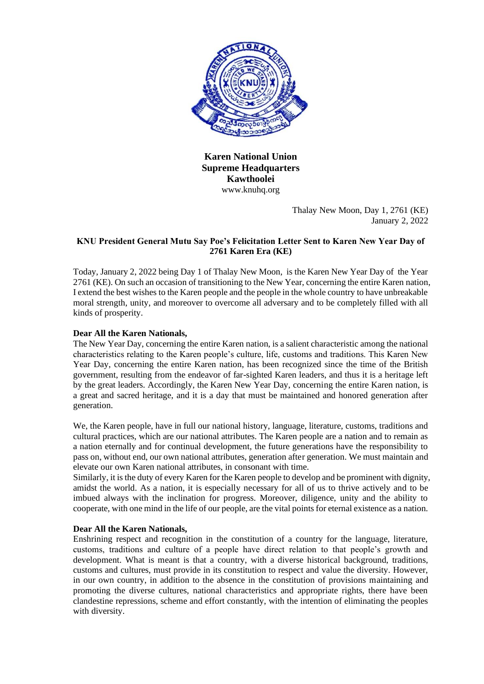

**Karen National Union Supreme Headquarters Kawthoolei** www.knuhq.org

> Thalay New Moon, Day 1, 2761 (KE) January 2, 2022

# **KNU President General Mutu Say Poe's Felicitation Letter Sent to Karen New Year Day of 2761 Karen Era (KE)**

Today, January 2, 2022 being Day 1 of Thalay New Moon, is the Karen New Year Day of the Year 2761 (KE). On such an occasion of transitioning to the New Year, concerning the entire Karen nation, I extend the best wishes to the Karen people and the people in the whole country to have unbreakable moral strength, unity, and moreover to overcome all adversary and to be completely filled with all kinds of prosperity.

# **Dear All the Karen Nationals,**

The New Year Day, concerning the entire Karen nation, is a salient characteristic among the national characteristics relating to the Karen people's culture, life, customs and traditions. This Karen New Year Day, concerning the entire Karen nation, has been recognized since the time of the British government, resulting from the endeavor of far-sighted Karen leaders, and thus it is a heritage left by the great leaders. Accordingly, the Karen New Year Day, concerning the entire Karen nation, is a great and sacred heritage, and it is a day that must be maintained and honored generation after generation.

We, the Karen people, have in full our national history, language, literature, customs, traditions and cultural practices, which are our national attributes. The Karen people are a nation and to remain as a nation eternally and for continual development, the future generations have the responsibility to pass on, without end, our own national attributes, generation after generation. We must maintain and elevate our own Karen national attributes, in consonant with time.

Similarly, it is the duty of every Karen for the Karen people to develop and be prominent with dignity, amidst the world. As a nation, it is especially necessary for all of us to thrive actively and to be imbued always with the inclination for progress. Moreover, diligence, unity and the ability to cooperate, with one mind in the life of our people, are the vital points for eternal existence as a nation.

### **Dear All the Karen Nationals,**

Enshrining respect and recognition in the constitution of a country for the language, literature, customs, traditions and culture of a people have direct relation to that people's growth and development. What is meant is that a country, with a diverse historical background, traditions, customs and cultures, must provide in its constitution to respect and value the diversity. However, in our own country, in addition to the absence in the constitution of provisions maintaining and promoting the diverse cultures, national characteristics and appropriate rights, there have been clandestine repressions, scheme and effort constantly, with the intention of eliminating the peoples with diversity.